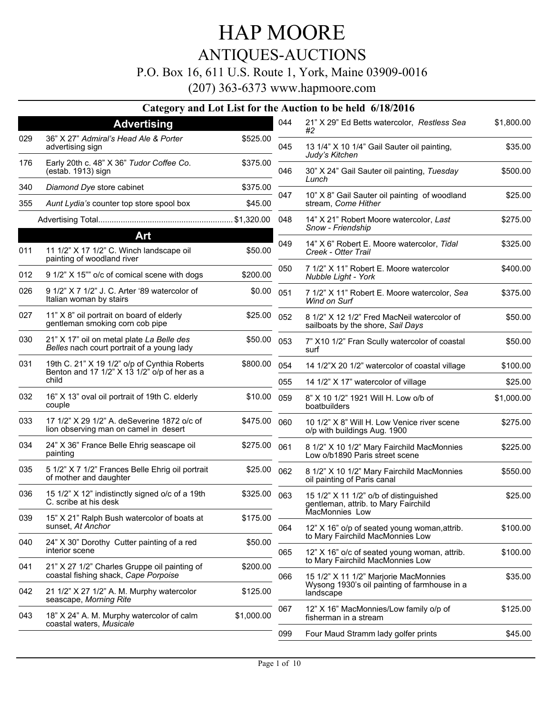## ANTIQUES-AUCTIONS

### P.O. Box 16, 611 U.S. Route 1, York, Maine 03909-0016

(207) 363-6373 www.hapmoore.com

### **Category and Lot List for the Auction to be held 6/18/2016**

|     | <b>Advertising</b>                                                                           |              | 044 | 21" X 29" Ed Betts watercolor, Restless Sea<br>#2                                | \$1,800.00 |
|-----|----------------------------------------------------------------------------------------------|--------------|-----|----------------------------------------------------------------------------------|------------|
| 029 | 36" X 27" Admiral's Head Ale & Porter<br>advertising sign                                    | \$525.00     | 045 | 13 1/4" X 10 1/4" Gail Sauter oil painting,<br>Judy's Kitchen                    | \$35.00    |
| 176 | Early 20th c. 48" X 36" Tudor Coffee Co.<br>(estab. 1913) sign                               | \$375.00     | 046 | 30" X 24" Gail Sauter oil painting, Tuesday<br>Lunch                             | \$500.00   |
| 340 | Diamond Dye store cabinet                                                                    | \$375.00     |     |                                                                                  |            |
| 355 | Aunt Lydia's counter top store spool box                                                     | \$45.00      | 047 | 10" X 8" Gail Sauter oil painting of woodland<br>stream, Come Hither             | \$25.00    |
|     |                                                                                              |              | 048 | 14" X 21" Robert Moore watercolor, Last<br>Snow - Friendship                     | \$275.00   |
|     | Art                                                                                          |              | 049 | 14" X 6" Robert E. Moore watercolor, Tidal                                       | \$325.00   |
| 011 | 11 1/2" X 17 1/2" C. Winch landscape oil<br>painting of woodland river                       | \$50.00      |     | Creek - Otter Trail                                                              |            |
| 012 | 9 1/2" X 15"" o/c of comical scene with dogs                                                 | \$200.00     | 050 | 7 1/2" X 11" Robert E. Moore watercolor<br>Nubble Light - York                   | \$400.00   |
| 026 | 9 1/2" X 7 1/2" J. C. Arter '89 watercolor of<br>Italian woman by stairs                     | \$0.00       | 051 | 7 1/2" X 11" Robert E. Moore watercolor, Sea<br>Wind on Surf                     | \$375.00   |
| 027 | 11" X 8" oil portrait on board of elderly<br>gentleman smoking corn cob pipe                 | \$25.00      | 052 | 8 1/2" X 12 1/2" Fred MacNeil watercolor of<br>sailboats by the shore, Sail Days | \$50.00    |
| 030 | 21" X 17" oil on metal plate La Belle des<br>Belles nach court portrait of a young lady      | \$50.00      | 053 | 7" X10 1/2" Fran Scully watercolor of coastal<br>surf                            | \$50.00    |
| 031 | 19th C. 21" X 19 1/2" o/p of Cynthia Roberts<br>Benton and 17 1/2" X 13 1/2" o/p of her as a | \$800.00     | 054 | 14 1/2"X 20 1/2" watercolor of coastal village                                   | \$100.00   |
|     | child                                                                                        |              | 055 | 14 1/2" X 17" watercolor of village                                              | \$25.00    |
| 032 | 16" X 13" oval oil portrait of 19th C. elderly<br>couple                                     | \$10.00      | 059 | 8" X 10 1/2" 1921 Will H. Low o/b of<br>boatbuilders                             | \$1,000.00 |
| 033 | 17 1/2" X 29 1/2" A. deSeverine 1872 o/c of<br>lion observing man on camel in desert         | \$475.00     | 060 | 10 1/2" X 8" Will H. Low Venice river scene<br>o/p with buildings Aug. 1900      | \$275.00   |
| 034 | 24" X 36" France Belle Ehrig seascape oil<br>painting                                        | \$275.00     | 061 | 8 1/2" X 10 1/2" Mary Fairchild MacMonnies<br>Low o/b1890 Paris street scene     | \$225.00   |
| 035 | 5 1/2" X 7 1/2" Frances Belle Ehrig oil portrait<br>of mother and daughter                   | \$25.00      | 062 | 8 1/2" X 10 1/2" Mary Fairchild MacMonnies<br>oil painting of Paris canal        | \$550.00   |
| 036 | 15 1/2" X 12" indistinctly signed o/c of a 19th<br>C. scribe at his desk                     | \$325.00 063 |     | 15 1/2" X 11 1/2" o/b of distinguished<br>gentleman, attrib. to Mary Fairchild   | \$25.00    |
| 039 | 15" X 21" Ralph Bush watercolor of boats at<br>sunset, At Anchor                             | \$175.00     | 064 | MacMonnies Low<br>12" X 16" o/p of seated young woman, attrib.                   | \$100.00   |
| 040 | 24" X 30" Dorothy Cutter painting of a red<br>interior scene                                 | \$50.00      | 065 | to Mary Fairchild MacMonnies Low<br>12" X 16" o/c of seated young woman, attrib. | \$100.00   |
| 041 | 21" X 27 1/2" Charles Gruppe oil painting of<br>coastal fishing shack, Cape Porpoise         | \$200.00     | 066 | to Mary Fairchild MacMonnies Low<br>15 1/2" X 11 1/2" Marjorie MacMonnies        | \$35.00    |
| 042 | 21 1/2" X 27 1/2" A. M. Murphy watercolor<br>seascape, Morning Rite                          | \$125.00     |     | Wysong 1930's oil painting of farmhouse in a<br>landscape                        |            |
| 043 | 18" X 24" A. M. Murphy watercolor of calm<br>coastal waters, Musicale                        | \$1,000.00   | 067 | 12" X 16" MacMonnies/Low family o/p of<br>fisherman in a stream                  | \$125.00   |
|     |                                                                                              |              | 099 | Four Maud Stramm lady golfer prints                                              | \$45.00    |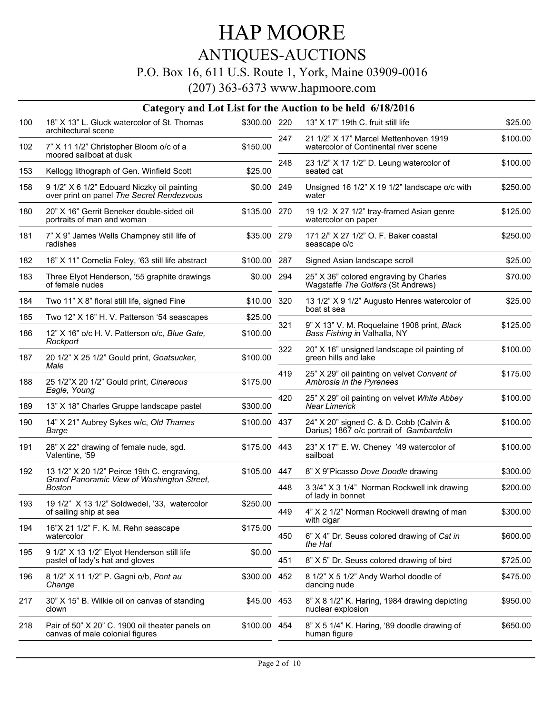## ANTIQUES-AUCTIONS

### P.O. Box 16, 611 U.S. Route 1, York, Maine 03909-0016

|     |                                                                                          |              |     | Category and Lot List for the Auction to be held 6/18/2016                          |          |
|-----|------------------------------------------------------------------------------------------|--------------|-----|-------------------------------------------------------------------------------------|----------|
| 100 | 18" X 13" L. Gluck watercolor of St. Thomas                                              | \$300.00 220 |     | 13" X 17" 19th C. fruit still life                                                  | \$25.00  |
| 102 | architectural scene<br>7" X 11 1/2" Christopher Bloom o/c of a                           | \$150.00     | 247 | 21 1/2" X 17" Marcel Mettenhoven 1919<br>watercolor of Continental river scene      | \$100.00 |
|     | moored sailboat at dusk                                                                  |              | 248 | 23 1/2" X 17 1/2" D. Leung watercolor of                                            | \$100.00 |
| 153 | Kellogg lithograph of Gen. Winfield Scott                                                | \$25.00      |     | seated cat                                                                          |          |
| 158 | 9 1/2" X 6 1/2" Edouard Niczky oil painting<br>over print on panel The Secret Rendezvous | \$0.00 249   |     | Unsigned 16 1/2" X 19 1/2" landscape o/c with<br>water                              | \$250.00 |
| 180 | 20" X 16" Gerrit Beneker double-sided oil<br>portraits of man and woman                  | \$135.00 270 |     | 19 1/2 X 27 1/2" tray-framed Asian genre<br>watercolor on paper                     | \$125.00 |
| 181 | 7" X 9" James Wells Champney still life of<br>radishes                                   | \$35.00 279  |     | 171 2/" X 27 1/2" O. F. Baker coastal<br>seascape o/c                               | \$250.00 |
| 182 | 16" X 11" Cornelia Foley, '63 still life abstract                                        | \$100.00     | 287 | Signed Asian landscape scroll                                                       | \$25.00  |
| 183 | Three Elyot Henderson, '55 graphite drawings<br>of female nudes                          | \$0.00       | 294 | 25" X 36" colored engraving by Charles<br>Wagstaffe The Golfers (St Andrews)        | \$70.00  |
| 184 | Two 11" X 8" floral still life, signed Fine                                              | \$10.00 320  |     | 13 1/2" X 9 1/2" Augusto Henres watercolor of<br>boat st sea                        | \$25.00  |
| 185 | Two 12" X 16" H. V. Patterson '54 seascapes                                              | \$25.00      |     |                                                                                     |          |
| 186 | 12" X 16" o/c H. V. Patterson o/c, Blue Gate,<br>Rockport                                | \$100.00     | 321 | 9" X 13" V. M. Roquelaine 1908 print, Black<br>Bass Fishing in Valhalla, NY         | \$125.00 |
| 187 | 20 1/2" X 25 1/2" Gould print, Goatsucker,<br>Male                                       | \$100.00     | 322 | 20" X 16" unsigned landscape oil painting of<br>green hills and lake                | \$100.00 |
| 188 | 25 1/2"X 20 1/2" Gould print, Cinereous<br>Eagle, Young                                  | \$175.00     | 419 | 25" X 29" oil painting on velvet Convent of<br>Ambrosia in the Pyrenees             | \$175.00 |
| 189 | 13" X 18" Charles Gruppe landscape pastel                                                | \$300.00     | 420 | 25" X 29" oil painting on velvet White Abbey<br><b>Near Limerick</b>                | \$100.00 |
| 190 | 14" X 21" Aubrey Sykes w/c, Old Thames<br>Barge                                          | \$100.00 437 |     | 24" X 20" signed C. & D. Cobb (Calvin &<br>Darius) 1867 o/c portrait of Gambardelin | \$100.00 |
| 191 | 28" X 22" drawing of female nude, sgd.<br>Valentine, '59                                 | \$175.00 443 |     | 23" X 17" E. W. Cheney '49 watercolor of<br>sailboat                                | \$100.00 |
| 192 | 13 1/2" X 20 1/2" Peirce 19th C. engraving,                                              | \$105.00     | 447 | 8" X 9"Picasso Dove Doodle drawing                                                  | \$300.00 |
|     | Grand Panoramic View of Washington Street,<br>Boston                                     |              | 448 | 3 3/4" X 3 1/4" Norman Rockwell ink drawing<br>of lady in bonnet                    | \$200.00 |
| 193 | 19 1/2" X 13 1/2" Soldwedel, '33, watercolor<br>of sailing ship at sea                   | \$250.00     | 449 | 4" X 2 1/2" Norman Rockwell drawing of man<br>with cigar                            | \$300.00 |
| 194 | 16"X 21 1/2" F. K. M. Rehn seascape<br>watercolor                                        | \$175.00     | 450 | 6" X 4" Dr. Seuss colored drawing of Cat in                                         | \$600.00 |
| 195 | 9 1/2" X 13 1/2" Elyot Henderson still life<br>pastel of lady's hat and gloves           | \$0.00       | 451 | the Hat<br>8" X 5" Dr. Seuss colored drawing of bird                                | \$725.00 |
| 196 | 8 1/2" X 11 1/2" P. Gagni o/b, Pont au<br>Change                                         | \$300.00     | 452 | 8 1/2" X 5 1/2" Andy Warhol doodle of<br>dancing nude                               | \$475.00 |
| 217 | 30" X 15" B. Wilkie oil on canvas of standing<br>clown                                   | \$45.00 453  |     | 8" X 8 1/2" K. Haring, 1984 drawing depicting<br>nuclear explosion                  | \$950.00 |
| 218 | Pair of 50" X 20" C. 1900 oil theater panels on<br>canvas of male colonial figures       | \$100.00 454 |     | 8" X 5 1/4" K. Haring, '89 doodle drawing of<br>human figure                        | \$650.00 |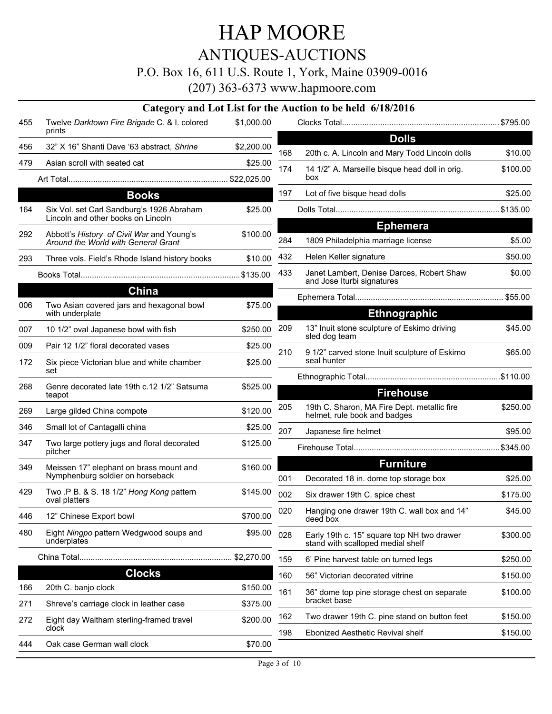## ANTIQUES-AUCTIONS

### P.O. Box 16, 611 U.S. Route 1, York, Maine 03909-0016

|     |                                                                                  |            |     | Category and Lot List for the Auction to be held 6/18/2016                      |          |
|-----|----------------------------------------------------------------------------------|------------|-----|---------------------------------------------------------------------------------|----------|
| 455 | Twelve Darktown Fire Brigade C. & I. colored<br>prints                           | \$1,000.00 |     |                                                                                 |          |
| 456 | 32" X 16" Shanti Dave '63 abstract, Shrine                                       | \$2,200.00 |     | <b>Dolls</b>                                                                    |          |
| 479 | Asian scroll with seated cat                                                     | \$25.00    | 168 | 20th c. A. Lincoln and Mary Todd Lincoln dolls                                  | \$10.00  |
|     |                                                                                  |            | 174 | 14 1/2" A. Marseille bisque head doll in orig.<br>box                           | \$100.00 |
|     | <b>Books</b>                                                                     |            | 197 | Lot of five bisque head dolls                                                   | \$25.00  |
| 164 | Six Vol. set Carl Sandburg's 1926 Abraham<br>Lincoln and other books on Lincoln  | \$25.00    |     |                                                                                 |          |
| 292 | Abbott's History of Civil War and Young's<br>Around the World with General Grant | \$100.00   | 284 | <b>Ephemera</b><br>1809 Philadelphia marriage license                           | \$5.00   |
| 293 | Three vols. Field's Rhode Island history books                                   | \$10.00    | 432 | Helen Keller signature                                                          | \$50.00  |
|     |                                                                                  |            | 433 | Janet Lambert, Denise Darces, Robert Shaw<br>and Jose Iturbi signatures         | \$0.00   |
|     | China                                                                            |            |     |                                                                                 |          |
| 006 | Two Asian covered jars and hexagonal bowl<br>with underplate                     | \$75.00    |     | <b>Ethnographic</b>                                                             |          |
| 007 | 10 1/2" oval Japanese bowl with fish                                             | \$250.00   | 209 | 13" Inuit stone sculpture of Eskimo driving                                     | \$45.00  |
| 009 | Pair 12 1/2" floral decorated vases                                              |            |     | sled dog team                                                                   |          |
|     |                                                                                  | \$25.00    | 210 | 9 1/2" carved stone Inuit sculpture of Eskimo                                   | \$65.00  |
| 172 | Six piece Victorian blue and white chamber<br>set                                | \$25.00    |     | seal hunter                                                                     |          |
| 268 | Genre decorated late 19th c.12 1/2" Satsuma                                      | \$525.00   |     |                                                                                 |          |
|     | teapot                                                                           |            |     | <b>Firehouse</b>                                                                |          |
| 269 | Large gilded China compote                                                       | \$120.00   | 205 | 19th C. Sharon, MA Fire Dept. metallic fire<br>helmet, rule book and badges     | \$250.00 |
| 346 | Small lot of Cantagalli china                                                    | \$25.00    | 207 | Japanese fire helmet                                                            | \$95.00  |
| 347 | Two large pottery jugs and floral decorated<br>pitcher                           | \$125.00   |     |                                                                                 |          |
| 349 | Meissen 17" elephant on brass mount and                                          | \$160.00   |     | <b>Furniture</b>                                                                |          |
|     | Nymphenburg soldier on horseback                                                 |            | 001 | Decorated 18 in. dome top storage box                                           | \$25.00  |
| 429 | Two .P B. & S. 18 1/2" Hong Kong pattern<br>oval platters                        | \$145.00   | 002 | Six drawer 19th C. spice chest                                                  | \$175.00 |
| 446 | 12" Chinese Export bowl                                                          | \$700.00   | 020 | Hanging one drawer 19th C. wall box and 14"<br>deed box                         | \$45.00  |
| 480 | Eight Ningpo pattern Wedgwood soups and<br>underplates                           | \$95.00    | 028 | Early 19th c. 15" square top NH two drawer<br>stand with scalloped medial shelf | \$300.00 |
|     |                                                                                  | \$2,270.00 | 159 | 6' Pine harvest table on turned legs                                            | \$250.00 |
|     | <b>Clocks</b>                                                                    |            | 160 | 56" Victorian decorated vitrine                                                 | \$150.00 |
| 166 | 20th C. banjo clock                                                              | \$150.00   | 161 | 36" dome top pine storage chest on separate                                     | \$100.00 |
| 271 | Shreve's carriage clock in leather case                                          | \$375.00   |     | bracket base                                                                    |          |
| 272 | Eight day Waltham sterling-framed travel<br>clock                                | \$200.00   | 162 | Two drawer 19th C. pine stand on button feet                                    | \$150.00 |
| 444 | Oak case German wall clock                                                       | \$70.00    | 198 | Ebonized Aesthetic Revival shelf                                                | \$150.00 |
|     |                                                                                  |            |     |                                                                                 |          |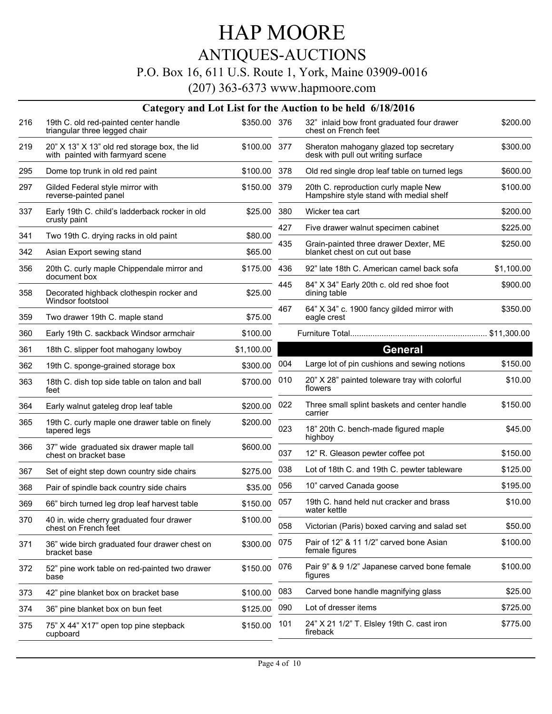## ANTIQUES-AUCTIONS

### P.O. Box 16, 611 U.S. Route 1, York, Maine 03909-0016

|     |                                                                                  |              |     | Category and Lot List for the Auction to be held 6/18/2016                      |            |
|-----|----------------------------------------------------------------------------------|--------------|-----|---------------------------------------------------------------------------------|------------|
| 216 | 19th C. old red-painted center handle<br>triangular three legged chair           | \$350.00 376 |     | 32" inlaid bow front graduated four drawer<br>chest on French feet              | \$200.00   |
| 219 | 20" X 13" X 13" old red storage box, the lid<br>with painted with farmyard scene | \$100.00 377 |     | Sheraton mahogany glazed top secretary<br>desk with pull out writing surface    | \$300.00   |
| 295 | Dome top trunk in old red paint                                                  | \$100.00     | 378 | Old red single drop leaf table on turned legs                                   | \$600.00   |
| 297 | Gilded Federal style mirror with<br>reverse-painted panel                        | \$150.00     | 379 | 20th C. reproduction curly maple New<br>Hampshire style stand with medial shelf | \$100.00   |
| 337 | Early 19th C. child's ladderback rocker in old<br>crusty paint                   | \$25.00      | 380 | Wicker tea cart                                                                 | \$200.00   |
| 341 | Two 19th C. drying racks in old paint                                            | \$80.00      | 427 | Five drawer walnut specimen cabinet                                             | \$225.00   |
| 342 | Asian Export sewing stand                                                        | \$65.00      | 435 | Grain-painted three drawer Dexter, ME<br>blanket chest on cut out base          | \$250.00   |
| 356 | 20th C. curly maple Chippendale mirror and<br>document box                       | \$175.00     | 436 | 92" late 18th C. American camel back sofa                                       | \$1,100.00 |
| 358 | Decorated highback clothespin rocker and<br>Windsor footstool                    | \$25.00      | 445 | 84" X 34" Early 20th c. old red shoe foot<br>dining table                       | \$900.00   |
| 359 | Two drawer 19th C. maple stand                                                   | \$75.00      | 467 | 64" X 34" c. 1900 fancy gilded mirror with<br>eagle crest                       | \$350.00   |
| 360 | Early 19th C. sackback Windsor armchair                                          | \$100.00     |     |                                                                                 |            |
| 361 | 18th C. slipper foot mahogany lowboy                                             | \$1,100.00   |     | <b>General</b>                                                                  |            |
| 362 | 19th C. sponge-grained storage box                                               | \$300.00     | 004 | Large lot of pin cushions and sewing notions                                    | \$150.00   |
| 363 | 18th C. dish top side table on talon and ball<br>feet                            | \$700.00     | 010 | 20" X 28" painted toleware tray with colorful<br>flowers                        | \$10.00    |
| 364 | Early walnut gateleg drop leaf table                                             | \$200.00     | 022 | Three small splint baskets and center handle<br>carrier                         | \$150.00   |
| 365 | 19th C. curly maple one drawer table on finely<br>tapered legs                   | \$200.00     | 023 | 18" 20th C. bench-made figured maple<br>highboy                                 | \$45.00    |
| 366 | 37" wide graduated six drawer maple tall<br>chest on bracket base                | \$600.00     | 037 | 12" R. Gleason pewter coffee pot                                                | \$150.00   |
| 367 | Set of eight step down country side chairs                                       | \$275.00     | 038 | Lot of 18th C. and 19th C. pewter tableware                                     | \$125.00   |
| 368 | Pair of spindle back country side chairs                                         | \$35.00      | 056 | 10" carved Canada goose                                                         | \$195.00   |
| 369 | 66" birch turned leg drop leaf harvest table                                     | \$150.00     | 057 | 19th C. hand held nut cracker and brass<br>water kettle                         | \$10.00    |
| 370 | 40 in. wide cherry graduated four drawer<br>chest on French feet                 | \$100.00     | 058 | Victorian (Paris) boxed carving and salad set                                   | \$50.00    |
| 371 | 36" wide birch graduated four drawer chest on<br>bracket base                    | \$300.00     | 075 | Pair of 12" & 11 1/2" carved bone Asian<br>female figures                       | \$100.00   |
| 372 | 52" pine work table on red-painted two drawer<br>base                            | \$150.00     | 076 | Pair 9" & 9 1/2" Japanese carved bone female<br>figures                         | \$100.00   |
| 373 | 42" pine blanket box on bracket base                                             | \$100.00     | 083 | Carved bone handle magnifying glass                                             | \$25.00    |
| 374 | 36" pine blanket box on bun feet                                                 | \$125.00     | 090 | Lot of dresser items                                                            | \$725.00   |
| 375 | 75" X 44" X17" open top pine stepback<br>cupboard                                | \$150.00     | 101 | 24" X 21 1/2" T. Elsley 19th C. cast iron<br>fireback                           | \$775.00   |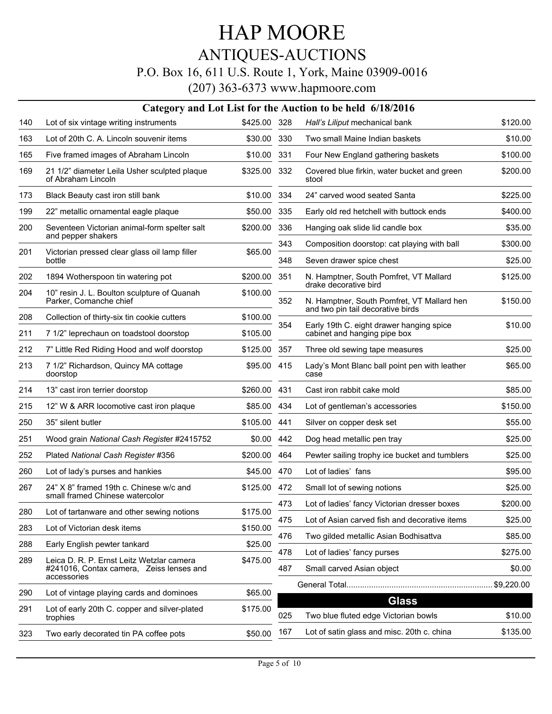## ANTIQUES-AUCTIONS

### P.O. Box 16, 611 U.S. Route 1, York, Maine 03909-0016

|     |                                                                                                      |              |     | Category and Lot List for the Auction to be held 6/18/2016                      |          |
|-----|------------------------------------------------------------------------------------------------------|--------------|-----|---------------------------------------------------------------------------------|----------|
| 140 | Lot of six vintage writing instruments                                                               | \$425.00 328 |     | Hall's Liliput mechanical bank                                                  | \$120.00 |
| 163 | Lot of 20th C. A. Lincoln souvenir items                                                             | \$30.00      | 330 | Two small Maine Indian baskets                                                  | \$10.00  |
| 165 | Five framed images of Abraham Lincoln                                                                | \$10.00      | 331 | Four New England gathering baskets                                              | \$100.00 |
| 169 | 21 1/2" diameter Leila Usher sculpted plaque<br>of Abraham Lincoln                                   | \$325.00     | 332 | Covered blue firkin, water bucket and green<br>stool                            | \$200.00 |
| 173 | Black Beauty cast iron still bank                                                                    | \$10.00      | 334 | 24" carved wood seated Santa                                                    | \$225.00 |
| 199 | 22" metallic ornamental eagle plaque                                                                 | \$50.00      | 335 | Early old red hetchell with buttock ends                                        | \$400.00 |
| 200 | Seventeen Victorian animal-form spelter salt<br>and pepper shakers                                   | \$200.00     | 336 | Hanging oak slide lid candle box                                                | \$35.00  |
| 201 | Victorian pressed clear glass oil lamp filler                                                        | \$65.00      | 343 | Composition doorstop: cat playing with ball                                     | \$300.00 |
|     | bottle                                                                                               |              | 348 | Seven drawer spice chest                                                        | \$25.00  |
| 202 | 1894 Wotherspoon tin watering pot                                                                    | \$200.00     | 351 | N. Hamptner, South Pomfret, VT Mallard<br>drake decorative bird                 | \$125.00 |
| 204 | 10" resin J. L. Boulton sculpture of Quanah<br>Parker, Comanche chief                                | \$100.00     | 352 | N. Hamptner, South Pomfret, VT Mallard hen<br>and two pin tail decorative birds | \$150.00 |
| 208 | Collection of thirty-six tin cookie cutters                                                          | \$100.00     | 354 | Early 19th C. eight drawer hanging spice                                        | \$10.00  |
| 211 | 7 1/2" leprechaun on toadstool doorstop                                                              | \$105.00     |     | cabinet and hanging pipe box                                                    |          |
| 212 | 7" Little Red Riding Hood and wolf doorstop                                                          | \$125.00     | 357 | Three old sewing tape measures                                                  | \$25.00  |
| 213 | 7 1/2" Richardson, Quincy MA cottage<br>doorstop                                                     | \$95.00      | 415 | Lady's Mont Blanc ball point pen with leather<br>case                           | \$65.00  |
| 214 | 13" cast iron terrier doorstop                                                                       | \$260.00     | 431 | Cast iron rabbit cake mold                                                      | \$85.00  |
| 215 | 12" W & ARR locomotive cast iron plaque                                                              | \$85.00      | 434 | Lot of gentleman's accessories                                                  | \$150.00 |
| 250 | 35" silent butler                                                                                    | \$105.00     | 441 | Silver on copper desk set                                                       | \$55.00  |
| 251 | Wood grain National Cash Register #2415752                                                           | \$0.00       | 442 | Dog head metallic pen tray                                                      | \$25.00  |
| 252 | Plated National Cash Register #356                                                                   | \$200.00     | 464 | Pewter sailing trophy ice bucket and tumblers                                   | \$25.00  |
| 260 | Lot of lady's purses and hankies                                                                     | \$45.00      | 470 | Lot of ladies' fans                                                             | \$95.00  |
| 267 | 24" X 8" framed 19th c. Chinese w/c and                                                              | \$125.00     | 472 | Small lot of sewing notions                                                     | \$25.00  |
|     | small framed Chinese watercolor                                                                      |              | 473 | Lot of ladies' fancy Victorian dresser boxes                                    | \$200.00 |
| 280 | Lot of tartanware and other sewing notions                                                           | \$175.00     | 475 | Lot of Asian carved fish and decorative items                                   | \$25.00  |
| 283 | Lot of Victorian desk items                                                                          | \$150.00     | 476 | Two gilded metallic Asian Bodhisattva                                           | \$85.00  |
| 288 | Early English pewter tankard                                                                         | \$25.00      | 478 | Lot of ladies' fancy purses                                                     | \$275.00 |
| 289 | Leica D. R. P. Ernst Leitz Wetzlar camera<br>#241016, Contax camera, Zeiss lenses and<br>accessories | \$475.00     | 487 | Small carved Asian object                                                       | \$0.00   |
| 290 | Lot of vintage playing cards and dominoes                                                            | \$65.00      |     |                                                                                 |          |
|     |                                                                                                      |              |     | <b>Glass</b>                                                                    |          |
| 291 | Lot of early 20th C. copper and silver-plated<br>trophies                                            | \$175.00     | 025 | Two blue fluted edge Victorian bowls                                            | \$10.00  |
| 323 | Two early decorated tin PA coffee pots                                                               | \$50.00      | 167 | Lot of satin glass and misc. 20th c. china                                      | \$135.00 |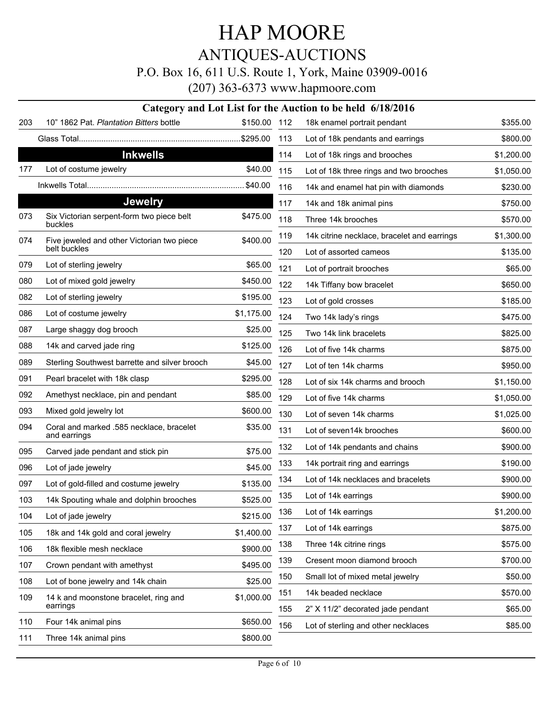ANTIQUES-AUCTIONS

P.O. Box 16, 611 U.S. Route 1, York, Maine 03909-0016

|     |                                                          |              |     | Category and Lot List for the Auction to be held 6/18/2016 |            |
|-----|----------------------------------------------------------|--------------|-----|------------------------------------------------------------|------------|
| 203 | 10" 1862 Pat. Plantation Bitters bottle                  | \$150.00 112 |     | 18k enamel portrait pendant                                | \$355.00   |
|     |                                                          |              | 113 | Lot of 18k pendants and earrings                           | \$800.00   |
|     | <b>Inkwells</b>                                          |              | 114 | Lot of 18k rings and brooches                              | \$1,200.00 |
| 177 | Lot of costume jewelry                                   | \$40.00      | 115 | Lot of 18k three rings and two brooches                    | \$1,050.00 |
|     |                                                          |              | 116 | 14k and enamel hat pin with diamonds                       | \$230.00   |
|     | <b>Jewelry</b>                                           |              | 117 | 14k and 18k animal pins                                    | \$750.00   |
| 073 | Six Victorian serpent-form two piece belt<br>buckles     | \$475.00     | 118 | Three 14k brooches                                         | \$570.00   |
| 074 | Five jeweled and other Victorian two piece               | \$400.00     | 119 | 14k citrine necklace, bracelet and earrings                | \$1,300.00 |
|     | belt buckles                                             |              | 120 | Lot of assorted cameos                                     | \$135.00   |
| 079 | Lot of sterling jewelry                                  | \$65.00      | 121 | Lot of portrait brooches                                   | \$65.00    |
| 080 | Lot of mixed gold jewelry                                | \$450.00     | 122 | 14k Tiffany bow bracelet                                   | \$650.00   |
| 082 | Lot of sterling jewelry                                  | \$195.00     | 123 | Lot of gold crosses                                        | \$185.00   |
| 086 | Lot of costume jewelry                                   | \$1,175.00   | 124 | Two 14k lady's rings                                       | \$475.00   |
| 087 | Large shaggy dog brooch                                  | \$25.00      | 125 | Two 14k link bracelets                                     | \$825.00   |
| 088 | 14k and carved jade ring                                 | \$125.00     | 126 | Lot of five 14k charms                                     | \$875.00   |
| 089 | Sterling Southwest barrette and silver brooch            | \$45.00      | 127 | Lot of ten 14k charms                                      | \$950.00   |
| 091 | Pearl bracelet with 18k clasp                            | \$295.00     | 128 | Lot of six 14k charms and brooch                           | \$1,150.00 |
| 092 | Amethyst necklace, pin and pendant                       | \$85.00      | 129 | Lot of five 14k charms                                     | \$1,050.00 |
| 093 | Mixed gold jewelry lot                                   | \$600.00     | 130 | Lot of seven 14k charms                                    | \$1,025.00 |
| 094 | Coral and marked .585 necklace, bracelet<br>and earrings | \$35.00      | 131 | Lot of seven14k brooches                                   | \$600.00   |
| 095 | Carved jade pendant and stick pin                        | \$75.00      | 132 | Lot of 14k pendants and chains                             | \$900.00   |
| 096 | Lot of jade jewelry                                      | \$45.00      | 133 | 14k portrait ring and earrings                             | \$190.00   |
| 097 | Lot of gold-filled and costume jewelry                   | \$135.00     | 134 | Lot of 14k necklaces and bracelets                         | \$900.00   |
| 103 | 14k Spouting whale and dolphin brooches                  | \$525.00     | 135 | Lot of 14k earrings                                        | \$900.00   |
| 104 | Lot of jade jewelry                                      | \$215.00     | 136 | Lot of 14k earrings                                        | \$1,200.00 |
| 105 | 18k and 14k gold and coral jewelry                       | \$1,400.00   | 137 | Lot of 14k earrings                                        | \$875.00   |
| 106 | 18k flexible mesh necklace                               | \$900.00     | 138 | Three 14k citrine rings                                    | \$575.00   |
| 107 | Crown pendant with amethyst                              | \$495.00     | 139 | Cresent moon diamond brooch                                | \$700.00   |
| 108 | Lot of bone jewelry and 14k chain                        | \$25.00      | 150 | Small lot of mixed metal jewelry                           | \$50.00    |
| 109 | 14 k and moonstone bracelet, ring and                    | \$1,000.00   | 151 | 14k beaded necklace                                        | \$570.00   |
|     | earrings                                                 |              | 155 | 2" X 11/2" decorated jade pendant                          | \$65.00    |
| 110 | Four 14k animal pins                                     | \$650.00     | 156 | Lot of sterling and other necklaces                        | \$85.00    |
| 111 | Three 14k animal pins                                    | \$800.00     |     |                                                            |            |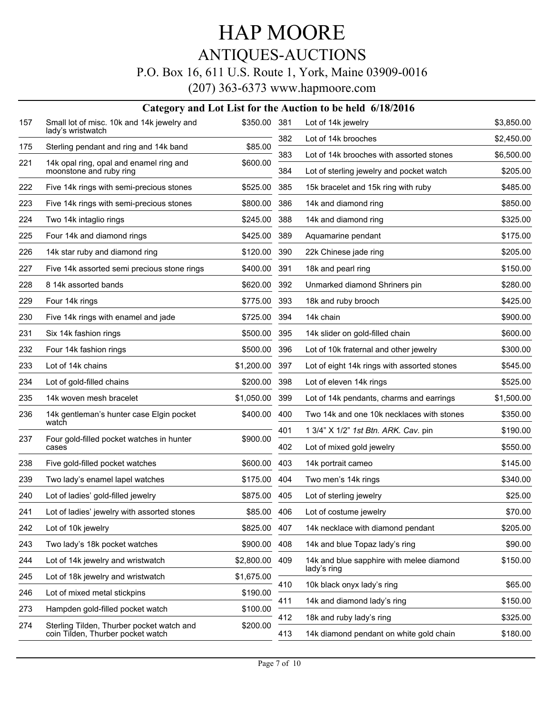## ANTIQUES-AUCTIONS

### P.O. Box 16, 611 U.S. Route 1, York, Maine 03909-0016

|     |                                                                                |              |     | Category and Lot List for the Auction to be held 6/18/2016 |            |
|-----|--------------------------------------------------------------------------------|--------------|-----|------------------------------------------------------------|------------|
| 157 | Small lot of misc. 10k and 14k jewelry and<br>lady's wristwatch                | \$350.00 381 |     | Lot of 14k jewelry                                         | \$3,850.00 |
| 175 | Sterling pendant and ring and 14k band                                         | \$85.00      | 382 | Lot of 14k brooches                                        | \$2,450.00 |
| 221 |                                                                                |              | 383 | Lot of 14k brooches with assorted stones                   | \$6,500.00 |
|     | 14k opal ring, opal and enamel ring and<br>moonstone and ruby ring             | \$600.00     | 384 | Lot of sterling jewelry and pocket watch                   | \$205.00   |
| 222 | Five 14k rings with semi-precious stones                                       | \$525.00     | 385 | 15k bracelet and 15k ring with ruby                        | \$485.00   |
| 223 | Five 14k rings with semi-precious stones                                       | \$800.00     | 386 | 14k and diamond ring                                       | \$850.00   |
| 224 | Two 14k intaglio rings                                                         | \$245.00     | 388 | 14k and diamond ring                                       | \$325.00   |
| 225 | Four 14k and diamond rings                                                     | \$425.00     | 389 | Aquamarine pendant                                         | \$175.00   |
| 226 | 14k star ruby and diamond ring                                                 | \$120.00     | 390 | 22k Chinese jade ring                                      | \$205.00   |
| 227 | Five 14k assorted semi precious stone rings                                    | \$400.00     | 391 | 18k and pearl ring                                         | \$150.00   |
| 228 | 8 14k assorted bands                                                           | \$620.00     | 392 | Unmarked diamond Shriners pin                              | \$280.00   |
| 229 | Four 14k rings                                                                 | \$775.00     | 393 | 18k and ruby brooch                                        | \$425.00   |
| 230 | Five 14k rings with enamel and jade                                            | \$725.00     | 394 | 14k chain                                                  | \$900.00   |
| 231 | Six 14k fashion rings                                                          | \$500.00     | 395 | 14k slider on gold-filled chain                            | \$600.00   |
| 232 | Four 14k fashion rings                                                         | \$500.00     | 396 | Lot of 10k fraternal and other jewelry                     | \$300.00   |
| 233 | Lot of 14k chains                                                              | \$1,200.00   | 397 | Lot of eight 14k rings with assorted stones                | \$545.00   |
| 234 | Lot of gold-filled chains                                                      | \$200.00     | 398 | Lot of eleven 14k rings                                    | \$525.00   |
| 235 | 14k woven mesh bracelet                                                        | \$1,050.00   | 399 | Lot of 14k pendants, charms and earrings                   | \$1,500.00 |
| 236 | 14k gentleman's hunter case Elgin pocket<br>watch                              | \$400.00     | 400 | Two 14k and one 10k necklaces with stones                  | \$350.00   |
| 237 | Four gold-filled pocket watches in hunter                                      | \$900.00     | 401 | 1 3/4" X 1/2" 1st Btn. ARK. Cav. pin                       | \$190.00   |
|     | cases                                                                          |              | 402 | Lot of mixed gold jewelry                                  | \$550.00   |
| 238 | Five gold-filled pocket watches                                                | \$600.00     | 403 | 14k portrait cameo                                         | \$145.00   |
| 239 | Two lady's enamel lapel watches                                                | \$175.00     | 404 | Two men's 14k rings                                        | \$340.00   |
| 240 | Lot of ladies' gold-filled jewelry                                             | \$875.00     | 405 | Lot of sterling jewelry                                    | \$25.00    |
| 241 | Lot of ladies' jewelry with assorted stones                                    | \$85.00      | 406 | Lot of costume jewelry                                     | \$70.00    |
| 242 | Lot of 10k jewelry                                                             | \$825.00     | 407 | 14k necklace with diamond pendant                          | \$205.00   |
| 243 | Two lady's 18k pocket watches                                                  | \$900.00     | 408 | 14k and blue Topaz lady's ring                             | \$90.00    |
| 244 | Lot of 14k jewelry and wristwatch                                              | \$2,800.00   | 409 | 14k and blue sapphire with melee diamond<br>lady's ring    | \$150.00   |
| 245 | Lot of 18k jewelry and wristwatch                                              | \$1,675.00   | 410 | 10k black onyx lady's ring                                 | \$65.00    |
| 246 | Lot of mixed metal stickpins                                                   | \$190.00     | 411 | 14k and diamond lady's ring                                | \$150.00   |
| 273 | Hampden gold-filled pocket watch                                               | \$100.00     | 412 | 18k and ruby lady's ring                                   | \$325.00   |
| 274 | Sterling Tilden, Thurber pocket watch and<br>coin Tilden, Thurber pocket watch | \$200.00     | 413 | 14k diamond pendant on white gold chain                    | \$180.00   |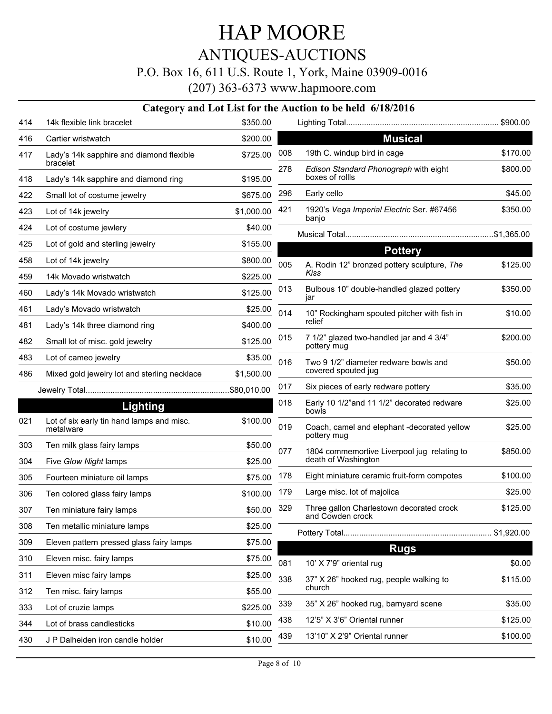## ANTIQUES-AUCTIONS

### P.O. Box 16, 611 U.S. Route 1, York, Maine 03909-0016

(207) 363-6373 www.hapmoore.com

#### **Category and Lot List for the Auction to be held 6/18/2016**

| 414 | 14k flexible link bracelet                             | \$350.00   |     |                                                              | . \$900.00 |
|-----|--------------------------------------------------------|------------|-----|--------------------------------------------------------------|------------|
| 416 | Cartier wristwatch                                     | \$200.00   |     | <b>Musical</b>                                               |            |
| 417 | Lady's 14k sapphire and diamond flexible<br>bracelet   | \$725.00   | 008 | 19th C. windup bird in cage                                  | \$170.00   |
| 418 | Lady's 14k sapphire and diamond ring                   | \$195.00   | 278 | Edison Standard Phonograph with eight<br>boxes of rollls     | \$800.00   |
| 422 | Small lot of costume jewelry                           | \$675.00   | 296 | Early cello                                                  | \$45.00    |
| 423 | Lot of 14k jewelry                                     | \$1,000.00 | 421 | 1920's Vega Imperial Electric Ser. #67456                    | \$350.00   |
| 424 | Lot of costume jewlery                                 | \$40.00    |     | banjo                                                        |            |
| 425 | Lot of gold and sterling jewelry                       | \$155.00   |     | <b>Pottery</b>                                               |            |
| 458 | Lot of 14k jewelry                                     | \$800.00   | 005 | A. Rodin 12" bronzed pottery sculpture, The                  | \$125.00   |
| 459 | 14k Movado wristwatch                                  | \$225.00   |     | Kiss                                                         |            |
| 460 | Lady's 14k Movado wristwatch                           | \$125.00   | 013 | Bulbous 10" double-handled glazed pottery<br>jar             | \$350.00   |
| 461 | Lady's Movado wristwatch                               | \$25.00    | 014 | 10" Rockingham spouted pitcher with fish in                  | \$10.00    |
| 481 | Lady's 14k three diamond ring                          | \$400.00   |     | relief                                                       |            |
| 482 | Small lot of misc. gold jewelry                        | \$125.00   | 015 | 7 1/2" glazed two-handled jar and 4 3/4"<br>pottery mug      | \$200.00   |
| 483 | Lot of cameo jewelry                                   | \$35.00    | 016 | Two 9 1/2" diameter redware bowls and                        | \$50.00    |
| 486 | Mixed gold jewelry lot and sterling necklace           | \$1,500.00 |     | covered spouted jug                                          |            |
|     |                                                        |            | 017 | Six pieces of early redware pottery                          | \$35.00    |
|     | <b>Lighting</b>                                        |            | 018 | Early 10 1/2"and 11 1/2" decorated redware<br>bowls          | \$25.00    |
| 021 | Lot of six early tin hand lamps and misc.<br>metalware | \$100.00   | 019 | Coach, camel and elephant -decorated yellow<br>pottery mug   | \$25.00    |
| 303 | Ten milk glass fairy lamps                             | \$50.00    | 077 | 1804 commemortive Liverpool jug relating to                  | \$850.00   |
| 304 | Five Glow Night lamps                                  | \$25.00    |     | death of Washington                                          |            |
| 305 | Fourteen miniature oil lamps                           | \$75.00    | 178 | Eight miniature ceramic fruit-form compotes                  | \$100.00   |
| 306 | Ten colored glass fairy lamps                          | \$100.00   | 179 | Large misc. lot of majolica                                  | \$25.00    |
| 307 | Ten miniature fairy lamps                              | \$50.00    | 329 | Three gallon Charlestown decorated crock<br>and Cowden crock | \$125.00   |
| 308 | Ten metallic miniature lamps                           | \$25.00    |     |                                                              | \$1,920.00 |
| 309 | Eleven pattern pressed glass fairy lamps               | \$75.00    |     | <b>Rugs</b>                                                  |            |
| 310 | Eleven misc. fairy lamps                               | \$75.00    | 081 | 10' X 7'9" oriental rug                                      | \$0.00     |
| 311 | Eleven misc fairy lamps                                | \$25.00    | 338 | 37" X 26" hooked rug, people walking to                      | \$115.00   |
| 312 | Ten misc. fairy lamps                                  | \$55.00    |     | church                                                       |            |
| 333 | Lot of cruzie lamps                                    | \$225.00   | 339 | 35" X 26" hooked rug, barnyard scene                         | \$35.00    |
| 344 | Lot of brass candlesticks                              | \$10.00    | 438 | 12'5" X 3'6" Oriental runner                                 | \$125.00   |
| 430 | J P Dalheiden iron candle holder                       | \$10.00    | 439 | 13'10" X 2'9" Oriental runner                                | \$100.00   |
|     |                                                        |            |     |                                                              |            |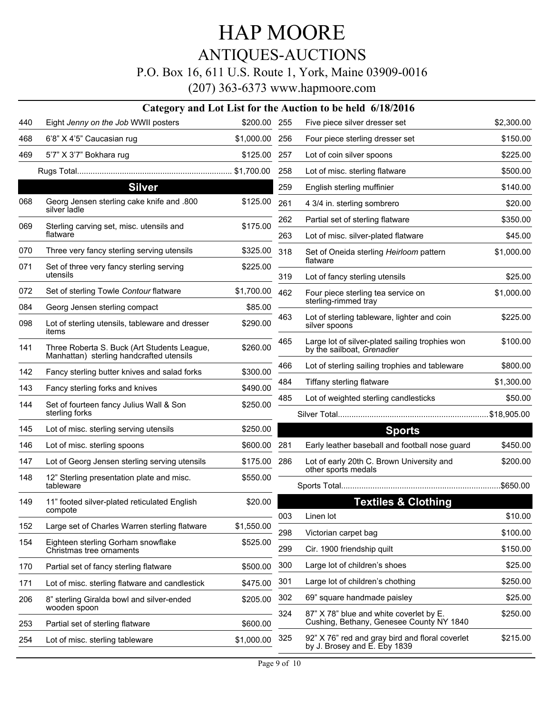## ANTIQUES-AUCTIONS

### P.O. Box 16, 611 U.S. Route 1, York, Maine 03909-0016

|            |                                                                                  |                     |     | Category and Lot List for the Auction to be held 6/18/2016                          |            |
|------------|----------------------------------------------------------------------------------|---------------------|-----|-------------------------------------------------------------------------------------|------------|
| 440        | Eight Jenny on the Job WWII posters                                              | \$200.00 255        |     | Five piece silver dresser set                                                       | \$2,300.00 |
| 468        | 6'8" X 4'5" Caucasian rug                                                        | \$1,000.00          | 256 | Four piece sterling dresser set                                                     | \$150.00   |
| 469        | 5'7" X 3'7" Bokhara rug                                                          | \$125.00            | 257 | Lot of coin silver spoons                                                           | \$225.00   |
|            |                                                                                  |                     | 258 | Lot of misc. sterling flatware                                                      | \$500.00   |
|            | <b>Silver</b>                                                                    |                     | 259 | English sterling muffinier                                                          | \$140.00   |
| 068        | Georg Jensen sterling cake knife and .800<br>silver ladle                        | \$125.00            | 261 | 4 3/4 in. sterling sombrero                                                         | \$20.00    |
| 069        | Sterling carving set, misc. utensils and                                         | \$175.00            | 262 | Partial set of sterling flatware                                                    | \$350.00   |
|            | flatware                                                                         |                     | 263 | Lot of misc. silver-plated flatware                                                 | \$45.00    |
| 070        | Three very fancy sterling serving utensils                                       | \$325.00            | 318 | Set of Oneida sterling Heirloom pattern                                             | \$1,000.00 |
| 071        | Set of three very fancy sterling serving<br>utensils                             | \$225.00            |     | flatware                                                                            |            |
|            |                                                                                  |                     | 319 | Lot of fancy sterling utensils                                                      | \$25.00    |
| 072        | Set of sterling Towle Contour flatware                                           | \$1,700.00          | 462 | Four piece sterling tea service on<br>sterling-rimmed tray                          | \$1,000.00 |
| 084<br>098 | Georg Jensen sterling compact<br>Lot of sterling utensils, tableware and dresser | \$85.00<br>\$290.00 | 463 | Lot of sterling tableware, lighter and coin<br>silver spoons                        | \$225.00   |
| 141        | items<br>Three Roberta S. Buck (Art Students League,                             | \$260.00            | 465 | Large lot of silver-plated sailing trophies won<br>by the sailboat, Grenadier       | \$100.00   |
|            | Manhattan) sterling handcrafted utensils                                         |                     | 466 | Lot of sterling sailing trophies and tableware                                      | \$800.00   |
| 142        | Fancy sterling butter knives and salad forks                                     | \$300.00            | 484 | Tiffany sterling flatware                                                           | \$1,300.00 |
| 143        | Fancy sterling forks and knives                                                  | \$490.00            | 485 | Lot of weighted sterling candlesticks                                               | \$50.00    |
| 144        | Set of fourteen fancy Julius Wall & Son<br>sterling forks                        | \$250.00            |     |                                                                                     |            |
| 145        | Lot of misc. sterling serving utensils                                           | \$250.00            |     | <b>Sports</b>                                                                       |            |
| 146        | Lot of misc. sterling spoons                                                     | \$600.00            | 281 | Early leather baseball and football nose guard                                      | \$450.00   |
| 147        | Lot of Georg Jensen sterling serving utensils                                    | \$175.00            | 286 | Lot of early 20th C. Brown University and                                           | \$200.00   |
| 148        | 12" Sterling presentation plate and misc.<br>tableware                           | \$550.00            |     | other sports medals                                                                 |            |
| 149        | 11" footed silver-plated reticulated English                                     | \$20.00             |     | <b>Textiles &amp; Clothing</b>                                                      |            |
|            | compote                                                                          |                     | 003 | Linen lot                                                                           | \$10.00    |
| 152        | Large set of Charles Warren sterling flatware                                    | \$1,550.00          | 298 | Victorian carpet bag                                                                | \$100.00   |
| 154        | Eighteen sterling Gorham snowflake<br>Christmas tree ornaments                   | \$525.00            | 299 | Cir. 1900 friendship quilt                                                          | \$150.00   |
| 170        | Partial set of fancy sterling flatware                                           | \$500.00            | 300 | Large lot of children's shoes                                                       | \$25.00    |
| 171        | Lot of misc. sterling flatware and candlestick                                   | \$475.00            | 301 | Large lot of children's chothing                                                    | \$250.00   |
| 206        | 8" sterling Giralda bowl and silver-ended                                        | \$205.00            | 302 | 69" square handmade paisley                                                         | \$25.00    |
| 253        | wooden spoon<br>Partial set of sterling flatware                                 | \$600.00            | 324 | 87" X 78" blue and white coverlet by E.<br>Cushing, Bethany, Genesee County NY 1840 | \$250.00   |
| 254        | Lot of misc. sterling tableware                                                  | \$1,000.00          | 325 | 92" X 76" red and gray bird and floral coverlet<br>by J. Brosey and E. Eby 1839     | \$215.00   |
|            |                                                                                  |                     |     |                                                                                     |            |